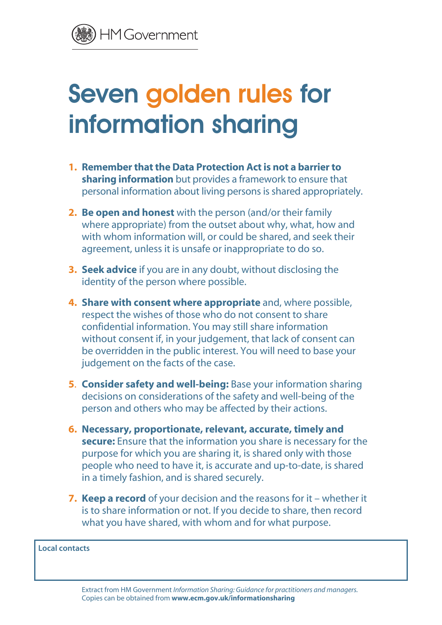- **1. Remember that the Data Protection Act is not a barrier to sharing information** but provides a framework to ensure that personal information about living persons is shared appropriately.
- **2. Be open and honest** with the person (and/or their family where appropriate) from the outset about why, what, how and with whom information will, or could be shared, and seek their agreement, unless it is unsafe or inappropriate to do so.
- **3. Seek advice** if you are in any doubt, without disclosing the identity of the person where possible.
- **4. Share with consent where appropriate** and, where possible, respect the wishes of those who do not consent to share confidential information. You may still share information without consent if, in your judgement, that lack of consent can be overridden in the public interest. You will need to base your judgement on the facts of the case.
- **5**. **Consider safety and well-being:** Base your information sharing decisions on considerations of the safety and well-being of the person and others who may be affected by their actions.
- **6. Necessary, proportionate, relevant, accurate, timely and secure:** Ensure that the information you share is necessary for the purpose for which you are sharing it, is shared only with those people who need to have it, is accurate and up-to-date, is shared

in a timely fashion, and is shared securely.

**7. Keep a record** of your decision and the reasons for it – whether it is to share information or not. If you decide to share, then record what you have shared, with whom and for what purpose.

**IM Government** 

## Seven golden rules for information sharing

Extract from HM Government *Information Sharing: Guidance for practitioners and managers.* Copies can be obtained from **www.ecm.gov.uk/informationsharing**

**Local contacts**